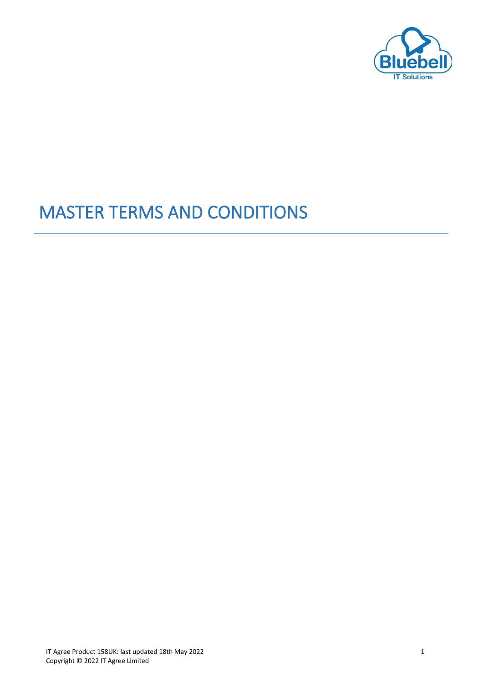

# MASTER TERMS AND CONDITIONS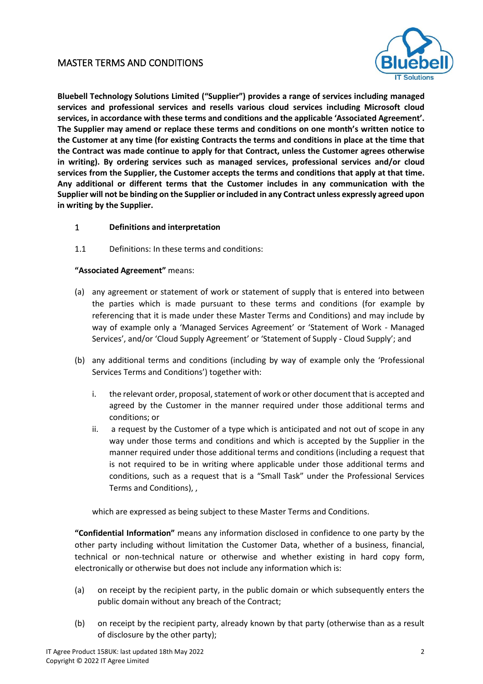# MASTER TERMS AND CONDITIONS



**Bluebell Technology Solutions Limited ("Supplier") provides a range of services including managed services and professional services and resells various cloud services including Microsoft cloud services, in accordance with these terms and conditions and the applicable 'Associated Agreement'. The Supplier may amend or replace these terms and conditions on one month's written notice to the Customer at any time (for existing Contracts the terms and conditions in place at the time that the Contract was made continue to apply for that Contract, unless the Customer agrees otherwise in writing). By ordering services such as managed services, professional services and/or cloud services from the Supplier, the Customer accepts the terms and conditions that apply at that time. Any additional or different terms that the Customer includes in any communication with the Supplier will not be binding on the Supplier or included in any Contract unless expressly agreed upon in writing by the Supplier.**

#### 1 **Definitions and interpretation**

1.1 Definitions: In these terms and conditions:

#### **"Associated Agreement"** means:

- (a) any agreement or statement of work or statement of supply that is entered into between the parties which is made pursuant to these terms and conditions (for example by referencing that it is made under these Master Terms and Conditions) and may include by way of example only a 'Managed Services Agreement' or 'Statement of Work - Managed Services', and/or 'Cloud Supply Agreement' or 'Statement of Supply - Cloud Supply'; and
- (b) any additional terms and conditions (including by way of example only the 'Professional Services Terms and Conditions') together with:
	- i. the relevant order, proposal, statement of work or other document that is accepted and agreed by the Customer in the manner required under those additional terms and conditions; or
	- ii. a request by the Customer of a type which is anticipated and not out of scope in any way under those terms and conditions and which is accepted by the Supplier in the manner required under those additional terms and conditions (including a request that is not required to be in writing where applicable under those additional terms and conditions, such as a request that is a "Small Task" under the Professional Services Terms and Conditions), ,

which are expressed as being subject to these Master Terms and Conditions.

**"Confidential Information"** means any information disclosed in confidence to one party by the other party including without limitation the Customer Data, whether of a business, financial, technical or non-technical nature or otherwise and whether existing in hard copy form, electronically or otherwise but does not include any information which is:

- (a) on receipt by the recipient party, in the public domain or which subsequently enters the public domain without any breach of the Contract;
- (b) on receipt by the recipient party, already known by that party (otherwise than as a result of disclosure by the other party);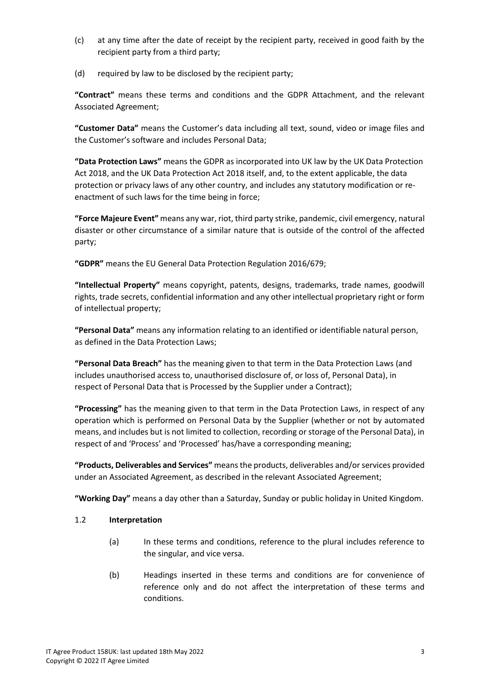- (c) at any time after the date of receipt by the recipient party, received in good faith by the recipient party from a third party;
- (d) required by law to be disclosed by the recipient party;

**"Contract"** means these terms and conditions and the GDPR Attachment, and the relevant Associated Agreement;

**"Customer Data"** means the Customer's data including all text, sound, video or image files and the Customer's software and includes Personal Data;

**"Data Protection Laws"** means the GDPR as incorporated into UK law by the UK Data Protection Act 2018, and the UK Data Protection Act 2018 itself, and, to the extent applicable, the data protection or privacy laws of any other country, and includes any statutory modification or reenactment of such laws for the time being in force;

**"Force Majeure Event"** means any war, riot, third party strike, pandemic, civil emergency, natural disaster or other circumstance of a similar nature that is outside of the control of the affected party;

**"GDPR"** means the EU General Data Protection Regulation 2016/679;

**"Intellectual Property"** means copyright, patents, designs, trademarks, trade names, goodwill rights, trade secrets, confidential information and any other intellectual proprietary right or form of intellectual property;

**"Personal Data"** means any information relating to an identified or identifiable natural person, as defined in the Data Protection Laws;

**"Personal Data Breach"** has the meaning given to that term in the Data Protection Laws (and includes unauthorised access to, unauthorised disclosure of, or loss of, Personal Data), in respect of Personal Data that is Processed by the Supplier under a Contract);

**"Processing"** has the meaning given to that term in the Data Protection Laws, in respect of any operation which is performed on Personal Data by the Supplier (whether or not by automated means, and includes but is not limited to collection, recording or storage of the Personal Data), in respect of and 'Process' and 'Processed' has/have a corresponding meaning;

**"Products, Deliverables and Services"** means the products, deliverables and/or services provided under an Associated Agreement, as described in the relevant Associated Agreement;

**"Working Day"** means a day other than a Saturday, Sunday or public holiday in United Kingdom.

## 1.2 **Interpretation**

- (a) In these terms and conditions, reference to the plural includes reference to the singular, and vice versa.
- (b) Headings inserted in these terms and conditions are for convenience of reference only and do not affect the interpretation of these terms and conditions.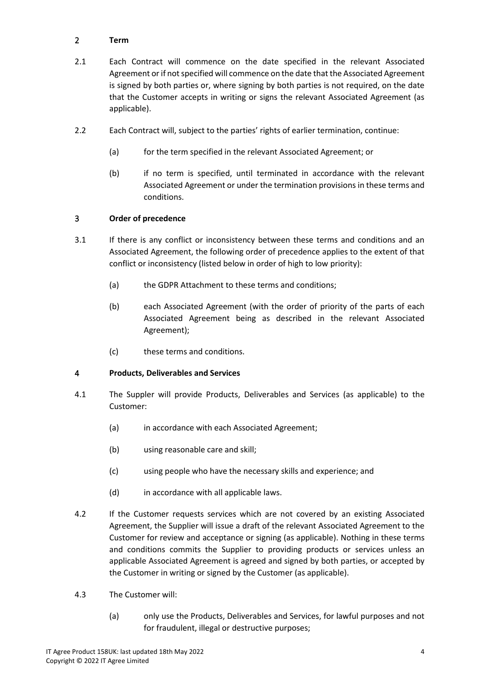## 2 **Term**

- 2.1 Each Contract will commence on the date specified in the relevant Associated Agreement or if not specified will commence on the date that the Associated Agreement is signed by both parties or, where signing by both parties is not required, on the date that the Customer accepts in writing or signs the relevant Associated Agreement (as applicable).
- 2.2 Each Contract will, subject to the parties' rights of earlier termination, continue:
	- (a) for the term specified in the relevant Associated Agreement; or
	- (b) if no term is specified, until terminated in accordance with the relevant Associated Agreement or under the termination provisions in these terms and conditions.

## 3 **Order of precedence**

- 3.1 If there is any conflict or inconsistency between these terms and conditions and an Associated Agreement, the following order of precedence applies to the extent of that conflict or inconsistency (listed below in order of high to low priority):
	- (a) the GDPR Attachment to these terms and conditions;
	- (b) each Associated Agreement (with the order of priority of the parts of each Associated Agreement being as described in the relevant Associated Agreement);
	- (c) these terms and conditions.

## 4 **Products, Deliverables and Services**

- 4.1 The Suppler will provide Products, Deliverables and Services (as applicable) to the Customer:
	- (a) in accordance with each Associated Agreement;
	- (b) using reasonable care and skill;
	- (c) using people who have the necessary skills and experience; and
	- (d) in accordance with all applicable laws.
- 4.2 If the Customer requests services which are not covered by an existing Associated Agreement, the Supplier will issue a draft of the relevant Associated Agreement to the Customer for review and acceptance or signing (as applicable). Nothing in these terms and conditions commits the Supplier to providing products or services unless an applicable Associated Agreement is agreed and signed by both parties, or accepted by the Customer in writing or signed by the Customer (as applicable).
- 4.3 The Customer will:
	- (a) only use the Products, Deliverables and Services, for lawful purposes and not for fraudulent, illegal or destructive purposes;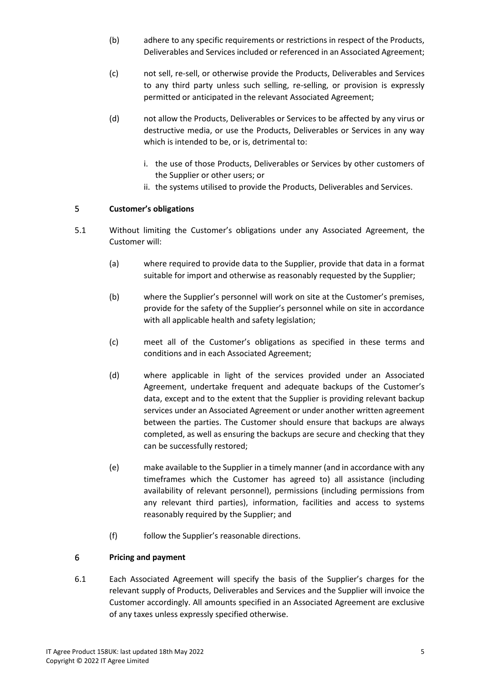- (b) adhere to any specific requirements or restrictions in respect of the Products, Deliverables and Services included or referenced in an Associated Agreement;
- (c) not sell, re-sell, or otherwise provide the Products, Deliverables and Services to any third party unless such selling, re-selling, or provision is expressly permitted or anticipated in the relevant Associated Agreement;
- (d) not allow the Products, Deliverables or Services to be affected by any virus or destructive media, or use the Products, Deliverables or Services in any way which is intended to be, or is, detrimental to:
	- i. the use of those Products, Deliverables or Services by other customers of the Supplier or other users; or
	- ii. the systems utilised to provide the Products, Deliverables and Services.

## 5 **Customer's obligations**

- 5.1 Without limiting the Customer's obligations under any Associated Agreement, the Customer will:
	- (a) where required to provide data to the Supplier, provide that data in a format suitable for import and otherwise as reasonably requested by the Supplier;
	- (b) where the Supplier's personnel will work on site at the Customer's premises, provide for the safety of the Supplier's personnel while on site in accordance with all applicable health and safety legislation;
	- (c) meet all of the Customer's obligations as specified in these terms and conditions and in each Associated Agreement;
	- (d) where applicable in light of the services provided under an Associated Agreement, undertake frequent and adequate backups of the Customer's data, except and to the extent that the Supplier is providing relevant backup services under an Associated Agreement or under another written agreement between the parties. The Customer should ensure that backups are always completed, as well as ensuring the backups are secure and checking that they can be successfully restored;
	- (e) make available to the Supplier in a timely manner (and in accordance with any timeframes which the Customer has agreed to) all assistance (including availability of relevant personnel), permissions (including permissions from any relevant third parties), information, facilities and access to systems reasonably required by the Supplier; and
	- (f) follow the Supplier's reasonable directions.

## 6 **Pricing and payment**

6.1 Each Associated Agreement will specify the basis of the Supplier's charges for the relevant supply of Products, Deliverables and Services and the Supplier will invoice the Customer accordingly. All amounts specified in an Associated Agreement are exclusive of any taxes unless expressly specified otherwise.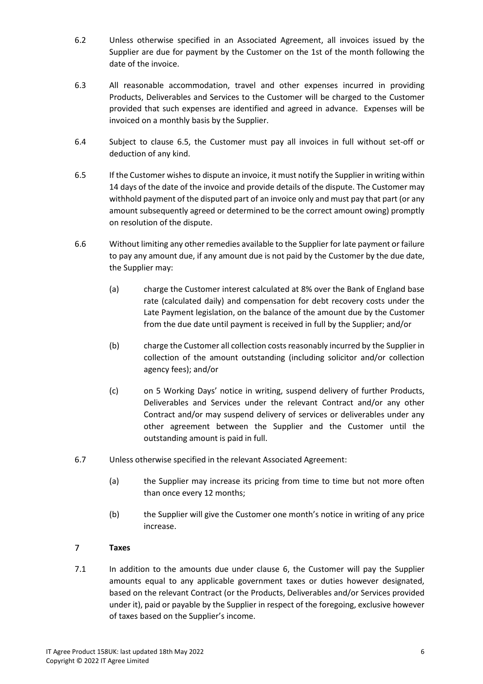- 6.2 Unless otherwise specified in an Associated Agreement, all invoices issued by the Supplier are due for payment by the Customer on the 1st of the month following the date of the invoice.
- 6.3 All reasonable accommodation, travel and other expenses incurred in providing Products, Deliverables and Services to the Customer will be charged to the Customer provided that such expenses are identified and agreed in advance. Expenses will be invoiced on a monthly basis by the Supplier.
- 6.4 Subject to clause 6.5, the Customer must pay all invoices in full without set-off or deduction of any kind.
- 6.5 If the Customer wishes to dispute an invoice, it must notify the Supplier in writing within 14 days of the date of the invoice and provide details of the dispute. The Customer may withhold payment of the disputed part of an invoice only and must pay that part (or any amount subsequently agreed or determined to be the correct amount owing) promptly on resolution of the dispute.
- 6.6 Without limiting any other remedies available to the Supplier for late payment or failure to pay any amount due, if any amount due is not paid by the Customer by the due date, the Supplier may:
	- (a) charge the Customer interest calculated at 8% over the Bank of England base rate (calculated daily) and compensation for debt recovery costs under the Late Payment legislation, on the balance of the amount due by the Customer from the due date until payment is received in full by the Supplier; and/or
	- (b) charge the Customer all collection costs reasonably incurred by the Supplier in collection of the amount outstanding (including solicitor and/or collection agency fees); and/or
	- (c) on 5 Working Days' notice in writing, suspend delivery of further Products, Deliverables and Services under the relevant Contract and/or any other Contract and/or may suspend delivery of services or deliverables under any other agreement between the Supplier and the Customer until the outstanding amount is paid in full.
- 6.7 Unless otherwise specified in the relevant Associated Agreement:
	- (a) the Supplier may increase its pricing from time to time but not more often than once every 12 months;
	- (b) the Supplier will give the Customer one month's notice in writing of any price increase.

## 7 **Taxes**

7.1 In addition to the amounts due under clause 6, the Customer will pay the Supplier amounts equal to any applicable government taxes or duties however designated, based on the relevant Contract (or the Products, Deliverables and/or Services provided under it), paid or payable by the Supplier in respect of the foregoing, exclusive however of taxes based on the Supplier's income.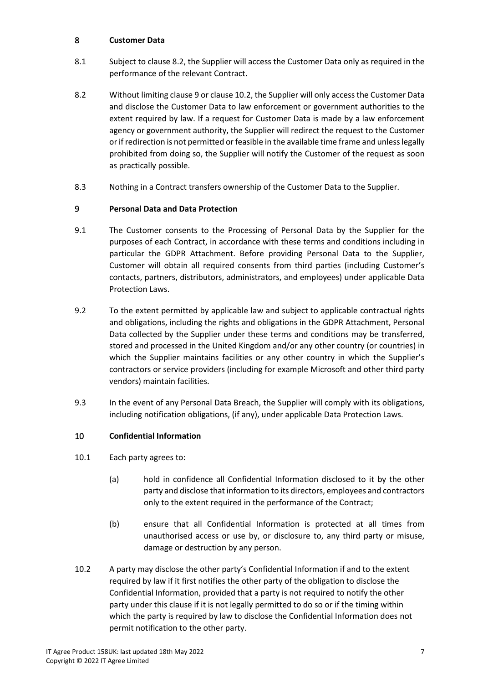## 8 **Customer Data**

- 8.1 Subject to clause 8.2, the Supplier will access the Customer Data only as required in the performance of the relevant Contract.
- 8.2 Without limiting clause 9 or clause 10.2, the Supplier will only access the Customer Data and disclose the Customer Data to law enforcement or government authorities to the extent required by law. If a request for Customer Data is made by a law enforcement agency or government authority, the Supplier will redirect the request to the Customer or if redirection is not permitted or feasible in the available time frame and unless legally prohibited from doing so, the Supplier will notify the Customer of the request as soon as practically possible.
- 8.3 Nothing in a Contract transfers ownership of the Customer Data to the Supplier.

## 9 **Personal Data and Data Protection**

- 9.1 The Customer consents to the Processing of Personal Data by the Supplier for the purposes of each Contract, in accordance with these terms and conditions including in particular the GDPR Attachment. Before providing Personal Data to the Supplier, Customer will obtain all required consents from third parties (including Customer's contacts, partners, distributors, administrators, and employees) under applicable Data Protection Laws.
- 9.2 To the extent permitted by applicable law and subject to applicable contractual rights and obligations, including the rights and obligations in the GDPR Attachment, Personal Data collected by the Supplier under these terms and conditions may be transferred, stored and processed in the United Kingdom and/or any other country (or countries) in which the Supplier maintains facilities or any other country in which the Supplier's contractors or service providers (including for example Microsoft and other third party vendors) maintain facilities.
- 9.3 In the event of any Personal Data Breach, the Supplier will comply with its obligations, including notification obligations, (if any), under applicable Data Protection Laws.

## 10 **Confidential Information**

- 10.1 Each party agrees to:
	- (a) hold in confidence all Confidential Information disclosed to it by the other party and disclose that information to its directors, employees and contractors only to the extent required in the performance of the Contract;
	- (b) ensure that all Confidential Information is protected at all times from unauthorised access or use by, or disclosure to, any third party or misuse, damage or destruction by any person.
- 10.2 A party may disclose the other party's Confidential Information if and to the extent required by law if it first notifies the other party of the obligation to disclose the Confidential Information, provided that a party is not required to notify the other party under this clause if it is not legally permitted to do so or if the timing within which the party is required by law to disclose the Confidential Information does not permit notification to the other party.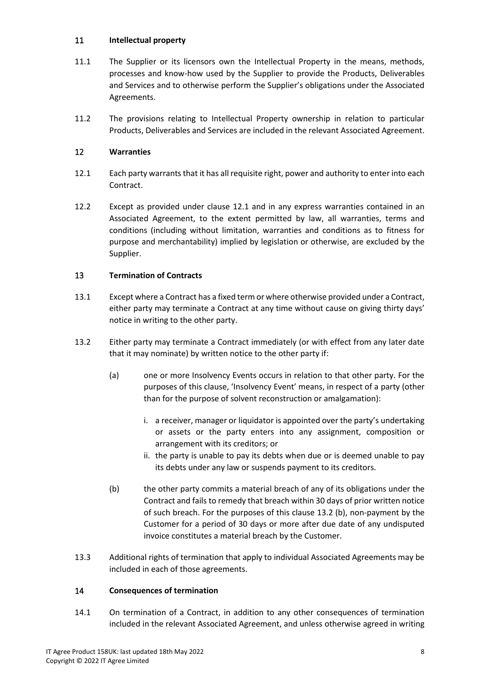## 11 **Intellectual property**

- 11.1 The Supplier or its licensors own the Intellectual Property in the means, methods, processes and know-how used by the Supplier to provide the Products, Deliverables and Services and to otherwise perform the Supplier's obligations under the Associated Agreements.
- 11.2 The provisions relating to Intellectual Property ownership in relation to particular Products, Deliverables and Services are included in the relevant Associated Agreement.

## 12 **Warranties**

- 12.1 Each party warrants that it has all requisite right, power and authority to enter into each Contract.
- 12.2 Except as provided under clause 12.1 and in any express warranties contained in an Associated Agreement, to the extent permitted by law, all warranties, terms and conditions (including without limitation, warranties and conditions as to fitness for purpose and merchantability) implied by legislation or otherwise, are excluded by the Supplier.

## 13 **Termination of Contracts**

- 13.1 Except where a Contract has a fixed term or where otherwise provided under a Contract, either party may terminate a Contract at any time without cause on giving thirty days' notice in writing to the other party.
- 13.2 Either party may terminate a Contract immediately (or with effect from any later date that it may nominate) by written notice to the other party if:
	- (a) one or more Insolvency Events occurs in relation to that other party. For the purposes of this clause, 'Insolvency Event' means, in respect of a party (other than for the purpose of solvent reconstruction or amalgamation):
		- i. a receiver, manager or liquidator is appointed over the party's undertaking or assets or the party enters into any assignment, composition or arrangement with its creditors; or
		- ii. the party is unable to pay its debts when due or is deemed unable to pay its debts under any law or suspends payment to its creditors.
	- (b) the other party commits a material breach of any of its obligations under the Contract and fails to remedy that breach within 30 days of prior written notice of such breach. For the purposes of this clause 13.2 (b), non-payment by the Customer for a period of 30 days or more after due date of any undisputed invoice constitutes a material breach by the Customer.
- 13.3 Additional rights of termination that apply to individual Associated Agreements may be included in each of those agreements.

## 14 **Consequences of termination**

14.1 On termination of a Contract, in addition to any other consequences of termination included in the relevant Associated Agreement, and unless otherwise agreed in writing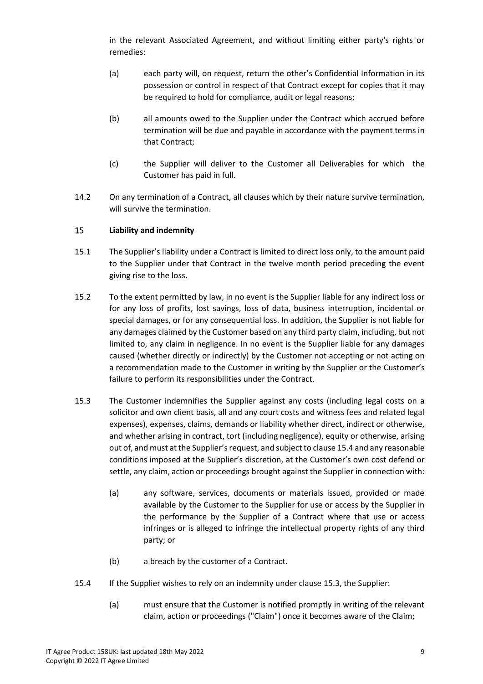in the relevant Associated Agreement, and without limiting either party's rights or remedies:

- (a) each party will, on request, return the other's Confidential Information in its possession or control in respect of that Contract except for copies that it may be required to hold for compliance, audit or legal reasons;
- (b) all amounts owed to the Supplier under the Contract which accrued before termination will be due and payable in accordance with the payment terms in that Contract;
- (c) the Supplier will deliver to the Customer all Deliverables for which the Customer has paid in full.
- 14.2 On any termination of a Contract, all clauses which by their nature survive termination, will survive the termination.

## 15 **Liability and indemnity**

- 15.1 The Supplier's liability under a Contract is limited to direct loss only, to the amount paid to the Supplier under that Contract in the twelve month period preceding the event giving rise to the loss.
- 15.2 To the extent permitted by law, in no event is the Supplier liable for any indirect loss or for any loss of profits, lost savings, loss of data, business interruption, incidental or special damages, or for any consequential loss. In addition, the Supplier is not liable for any damages claimed by the Customer based on any third party claim, including, but not limited to, any claim in negligence. In no event is the Supplier liable for any damages caused (whether directly or indirectly) by the Customer not accepting or not acting on a recommendation made to the Customer in writing by the Supplier or the Customer's failure to perform its responsibilities under the Contract.
- 15.3 The Customer indemnifies the Supplier against any costs (including legal costs on a solicitor and own client basis, all and any court costs and witness fees and related legal expenses), expenses, claims, demands or liability whether direct, indirect or otherwise, and whether arising in contract, tort (including negligence), equity or otherwise, arising out of, and must at the Supplier's request, and subject to clause 15.4 and any reasonable conditions imposed at the Supplier's discretion, at the Customer's own cost defend or settle, any claim, action or proceedings brought against the Supplier in connection with:
	- (a) any software, services, documents or materials issued, provided or made available by the Customer to the Supplier for use or access by the Supplier in the performance by the Supplier of a Contract where that use or access infringes or is alleged to infringe the intellectual property rights of any third party; or
	- (b) a breach by the customer of a Contract.
- 15.4 If the Supplier wishes to rely on an indemnity under clause 15.3, the Supplier:
	- (a) must ensure that the Customer is notified promptly in writing of the relevant claim, action or proceedings ("Claim") once it becomes aware of the Claim;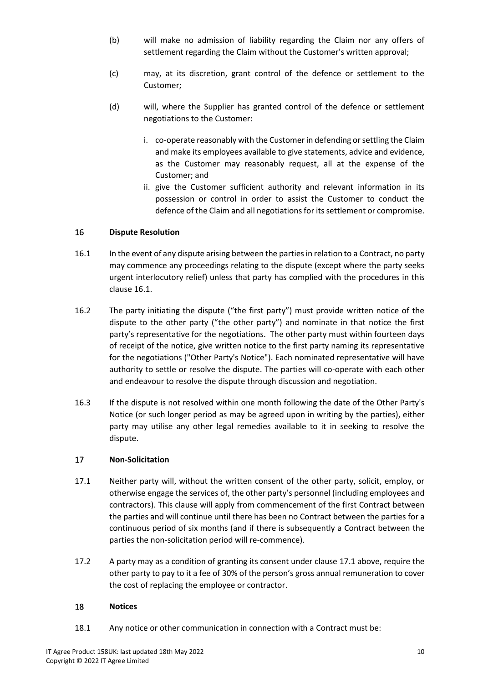- (b) will make no admission of liability regarding the Claim nor any offers of settlement regarding the Claim without the Customer's written approval;
- (c) may, at its discretion, grant control of the defence or settlement to the Customer;
- (d) will, where the Supplier has granted control of the defence or settlement negotiations to the Customer:
	- i. co-operate reasonably with the Customer in defending or settling the Claim and make its employees available to give statements, advice and evidence, as the Customer may reasonably request, all at the expense of the Customer; and
	- ii. give the Customer sufficient authority and relevant information in its possession or control in order to assist the Customer to conduct the defence of the Claim and all negotiations for its settlement or compromise.

## 16 **Dispute Resolution**

- 16.1 In the event of any dispute arising between the parties in relation to a Contract, no party may commence any proceedings relating to the dispute (except where the party seeks urgent interlocutory relief) unless that party has complied with the procedures in this clause 16.1.
- 16.2 The party initiating the dispute ("the first party") must provide written notice of the dispute to the other party ("the other party") and nominate in that notice the first party's representative for the negotiations. The other party must within fourteen days of receipt of the notice, give written notice to the first party naming its representative for the negotiations ("Other Party's Notice"). Each nominated representative will have authority to settle or resolve the dispute. The parties will co-operate with each other and endeavour to resolve the dispute through discussion and negotiation.
- 16.3 If the dispute is not resolved within one month following the date of the Other Party's Notice (or such longer period as may be agreed upon in writing by the parties), either party may utilise any other legal remedies available to it in seeking to resolve the dispute.

## 17 **Non-Solicitation**

- 17.1 Neither party will, without the written consent of the other party, solicit, employ, or otherwise engage the services of, the other party's personnel (including employees and contractors). This clause will apply from commencement of the first Contract between the parties and will continue until there has been no Contract between the parties for a continuous period of six months (and if there is subsequently a Contract between the parties the non-solicitation period will re-commence).
- 17.2 A party may as a condition of granting its consent under clause 17.1 above, require the other party to pay to it a fee of 30% of the person's gross annual remuneration to cover the cost of replacing the employee or contractor.

## 18 **Notices**

18.1 Any notice or other communication in connection with a Contract must be: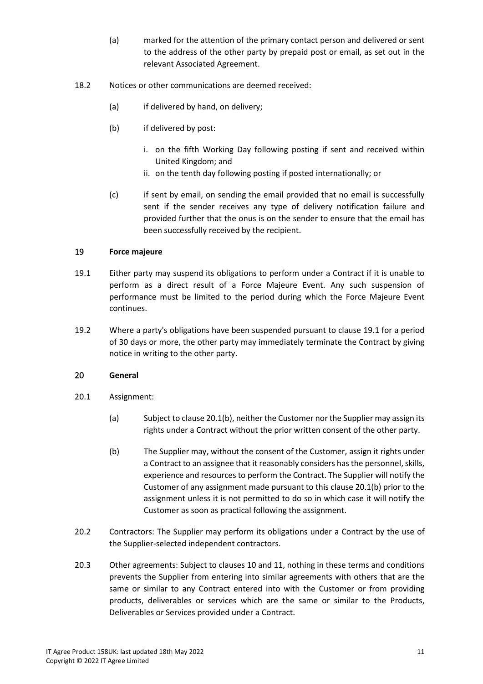- (a) marked for the attention of the primary contact person and delivered or sent to the address of the other party by prepaid post or email, as set out in the relevant Associated Agreement.
- 18.2 Notices or other communications are deemed received:
	- (a) if delivered by hand, on delivery;
	- (b) if delivered by post:
		- i. on the fifth Working Day following posting if sent and received within United Kingdom; and
		- ii. on the tenth day following posting if posted internationally; or
	- (c) if sent by email, on sending the email provided that no email is successfully sent if the sender receives any type of delivery notification failure and provided further that the onus is on the sender to ensure that the email has been successfully received by the recipient.

#### 19 **Force majeure**

- 19.1 Either party may suspend its obligations to perform under a Contract if it is unable to perform as a direct result of a Force Majeure Event. Any such suspension of performance must be limited to the period during which the Force Majeure Event continues.
- 19.2 Where a party's obligations have been suspended pursuant to clause 19.1 for a period of 30 days or more, the other party may immediately terminate the Contract by giving notice in writing to the other party.

#### 20 **General**

- 20.1 Assignment:
	- (a) Subject to clause 20.1(b), neither the Customer nor the Supplier may assign its rights under a Contract without the prior written consent of the other party.
	- (b) The Supplier may, without the consent of the Customer, assign it rights under a Contract to an assignee that it reasonably considers has the personnel, skills, experience and resources to perform the Contract. The Supplier will notify the Customer of any assignment made pursuant to this clause 20.1(b) prior to the assignment unless it is not permitted to do so in which case it will notify the Customer as soon as practical following the assignment.
- 20.2 Contractors: The Supplier may perform its obligations under a Contract by the use of the Supplier-selected independent contractors.
- 20.3 Other agreements: Subject to clauses 10 and 11, nothing in these terms and conditions prevents the Supplier from entering into similar agreements with others that are the same or similar to any Contract entered into with the Customer or from providing products, deliverables or services which are the same or similar to the Products, Deliverables or Services provided under a Contract.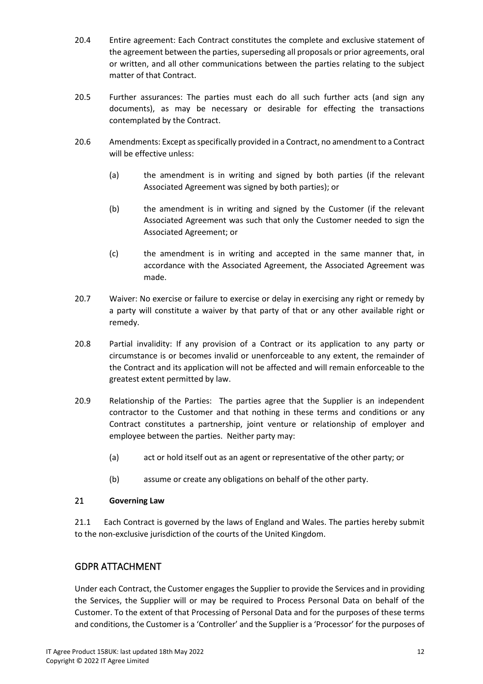- 20.4 Entire agreement: Each Contract constitutes the complete and exclusive statement of the agreement between the parties, superseding all proposals or prior agreements, oral or written, and all other communications between the parties relating to the subject matter of that Contract.
- 20.5 Further assurances: The parties must each do all such further acts (and sign any documents), as may be necessary or desirable for effecting the transactions contemplated by the Contract.
- 20.6 Amendments: Except as specifically provided in a Contract, no amendment to a Contract will be effective unless:
	- (a) the amendment is in writing and signed by both parties (if the relevant Associated Agreement was signed by both parties); or
	- (b) the amendment is in writing and signed by the Customer (if the relevant Associated Agreement was such that only the Customer needed to sign the Associated Agreement; or
	- (c) the amendment is in writing and accepted in the same manner that, in accordance with the Associated Agreement, the Associated Agreement was made.
- 20.7 Waiver: No exercise or failure to exercise or delay in exercising any right or remedy by a party will constitute a waiver by that party of that or any other available right or remedy.
- 20.8 Partial invalidity: If any provision of a Contract or its application to any party or circumstance is or becomes invalid or unenforceable to any extent, the remainder of the Contract and its application will not be affected and will remain enforceable to the greatest extent permitted by law.
- 20.9 Relationship of the Parties: The parties agree that the Supplier is an independent contractor to the Customer and that nothing in these terms and conditions or any Contract constitutes a partnership, joint venture or relationship of employer and employee between the parties. Neither party may:
	- (a) act or hold itself out as an agent or representative of the other party; or
	- (b) assume or create any obligations on behalf of the other party.

## 21 **Governing Law**

21.1 Each Contract is governed by the laws of England and Wales. The parties hereby submit to the non-exclusive jurisdiction of the courts of the United Kingdom.

## GDPR ATTACHMENT

Under each Contract, the Customer engages the Supplier to provide the Services and in providing the Services, the Supplier will or may be required to Process Personal Data on behalf of the Customer. To the extent of that Processing of Personal Data and for the purposes of these terms and conditions, the Customer is a 'Controller' and the Supplier is a 'Processor' for the purposes of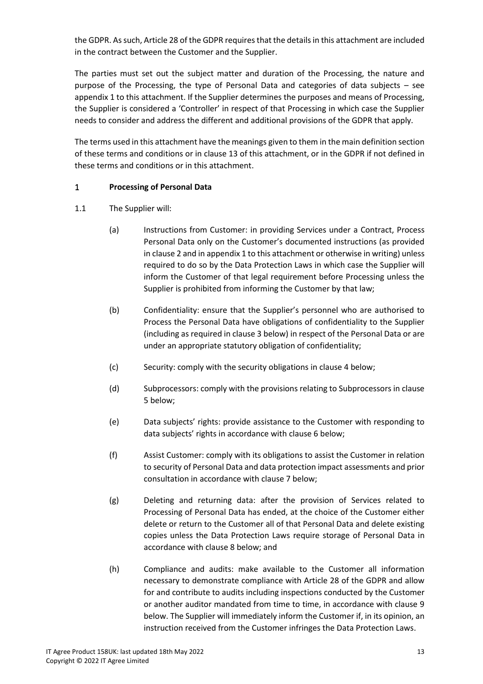the GDPR. As such, Article 28 of the GDPR requires that the details in this attachment are included in the contract between the Customer and the Supplier.

The parties must set out the subject matter and duration of the Processing, the nature and purpose of the Processing, the type of Personal Data and categories of data subjects – see appendix 1 to this attachment. If the Supplier determines the purposes and means of Processing, the Supplier is considered a 'Controller' in respect of that Processing in which case the Supplier needs to consider and address the different and additional provisions of the GDPR that apply.

The terms used in this attachment have the meanings given to them in the main definition section of these terms and conditions or in clause 13 of this attachment, or in the GDPR if not defined in these terms and conditions or in this attachment.

## 1 **Processing of Personal Data**

- 1.1 The Supplier will:
	- (a) Instructions from Customer: in providing Services under a Contract, Process Personal Data only on the Customer's documented instructions (as provided in clause 2 and in appendix 1 to this attachment or otherwise in writing) unless required to do so by the Data Protection Laws in which case the Supplier will inform the Customer of that legal requirement before Processing unless the Supplier is prohibited from informing the Customer by that law;
	- (b) Confidentiality: ensure that the Supplier's personnel who are authorised to Process the Personal Data have obligations of confidentiality to the Supplier (including as required in clause 3 below) in respect of the Personal Data or are under an appropriate statutory obligation of confidentiality;
	- (c) Security: comply with the security obligations in clause 4 below;
	- (d) Subprocessors: comply with the provisions relating to Subprocessors in clause 5 below;
	- (e) Data subjects' rights: provide assistance to the Customer with responding to data subjects' rights in accordance with clause 6 below;
	- (f) Assist Customer: comply with its obligations to assist the Customer in relation to security of Personal Data and data protection impact assessments and prior consultation in accordance with clause 7 below;
	- (g) Deleting and returning data: after the provision of Services related to Processing of Personal Data has ended, at the choice of the Customer either delete or return to the Customer all of that Personal Data and delete existing copies unless the Data Protection Laws require storage of Personal Data in accordance with clause 8 below; and
	- (h) Compliance and audits: make available to the Customer all information necessary to demonstrate compliance with Article 28 of the GDPR and allow for and contribute to audits including inspections conducted by the Customer or another auditor mandated from time to time, in accordance with clause 9 below. The Supplier will immediately inform the Customer if, in its opinion, an instruction received from the Customer infringes the Data Protection Laws.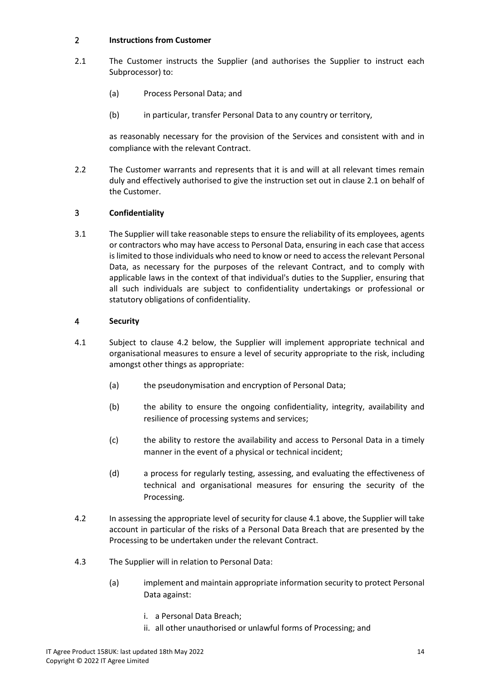## 2 **Instructions from Customer**

- 2.1 The Customer instructs the Supplier (and authorises the Supplier to instruct each Subprocessor) to:
	- (a) Process Personal Data; and
	- (b) in particular, transfer Personal Data to any country or territory,

as reasonably necessary for the provision of the Services and consistent with and in compliance with the relevant Contract.

2.2 The Customer warrants and represents that it is and will at all relevant times remain duly and effectively authorised to give the instruction set out in clause 2.1 on behalf of the Customer.

## 3 **Confidentiality**

3.1 The Supplier will take reasonable steps to ensure the reliability of its employees, agents or contractors who may have access to Personal Data, ensuring in each case that access is limited to those individuals who need to know or need to access the relevant Personal Data, as necessary for the purposes of the relevant Contract, and to comply with applicable laws in the context of that individual's duties to the Supplier, ensuring that all such individuals are subject to confidentiality undertakings or professional or statutory obligations of confidentiality.

#### 4 **Security**

- 4.1 Subject to clause 4.2 below, the Supplier will implement appropriate technical and organisational measures to ensure a level of security appropriate to the risk, including amongst other things as appropriate:
	- (a) the pseudonymisation and encryption of Personal Data;
	- (b) the ability to ensure the ongoing confidentiality, integrity, availability and resilience of processing systems and services;
	- (c) the ability to restore the availability and access to Personal Data in a timely manner in the event of a physical or technical incident;
	- (d) a process for regularly testing, assessing, and evaluating the effectiveness of technical and organisational measures for ensuring the security of the Processing.
- 4.2 In assessing the appropriate level of security for clause 4.1 above, the Supplier will take account in particular of the risks of a Personal Data Breach that are presented by the Processing to be undertaken under the relevant Contract.
- 4.3 The Supplier will in relation to Personal Data:
	- (a) implement and maintain appropriate information security to protect Personal Data against:
		- i. a Personal Data Breach;
		- ii. all other unauthorised or unlawful forms of Processing; and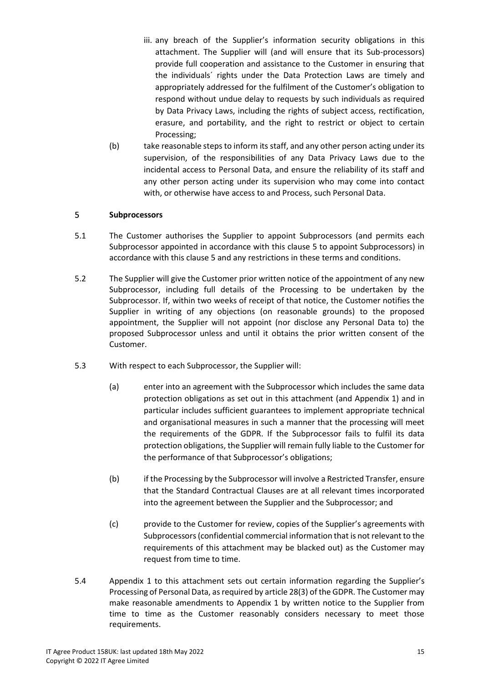- iii. any breach of the Supplier's information security obligations in this attachment. The Supplier will (and will ensure that its Sub-processors) provide full cooperation and assistance to the Customer in ensuring that the individuals´ rights under the Data Protection Laws are timely and appropriately addressed for the fulfilment of the Customer's obligation to respond without undue delay to requests by such individuals as required by Data Privacy Laws, including the rights of subject access, rectification, erasure, and portability, and the right to restrict or object to certain Processing;
- (b) take reasonable steps to inform its staff, and any other person acting under its supervision, of the responsibilities of any Data Privacy Laws due to the incidental access to Personal Data, and ensure the reliability of its staff and any other person acting under its supervision who may come into contact with, or otherwise have access to and Process, such Personal Data.

#### 5 **Subprocessors**

- 5.1 The Customer authorises the Supplier to appoint Subprocessors (and permits each Subprocessor appointed in accordance with this clause 5 to appoint Subprocessors) in accordance with this clause 5 and any restrictions in these terms and conditions.
- 5.2 The Supplier will give the Customer prior written notice of the appointment of any new Subprocessor, including full details of the Processing to be undertaken by the Subprocessor. If, within two weeks of receipt of that notice, the Customer notifies the Supplier in writing of any objections (on reasonable grounds) to the proposed appointment, the Supplier will not appoint (nor disclose any Personal Data to) the proposed Subprocessor unless and until it obtains the prior written consent of the Customer.
- 5.3 With respect to each Subprocessor, the Supplier will:
	- (a) enter into an agreement with the Subprocessor which includes the same data protection obligations as set out in this attachment (and Appendix 1) and in particular includes sufficient guarantees to implement appropriate technical and organisational measures in such a manner that the processing will meet the requirements of the GDPR. If the Subprocessor fails to fulfil its data protection obligations, the Supplier will remain fully liable to the Customer for the performance of that Subprocessor's obligations;
	- (b) if the Processing by the Subprocessor will involve a Restricted Transfer, ensure that the Standard Contractual Clauses are at all relevant times incorporated into the agreement between the Supplier and the Subprocessor; and
	- (c) provide to the Customer for review, copies of the Supplier's agreements with Subprocessors (confidential commercial information that is not relevant to the requirements of this attachment may be blacked out) as the Customer may request from time to time.
- 5.4 Appendix 1 to this attachment sets out certain information regarding the Supplier's Processing of Personal Data, as required by article 28(3) of the GDPR. The Customer may make reasonable amendments to Appendix 1 by written notice to the Supplier from time to time as the Customer reasonably considers necessary to meet those requirements.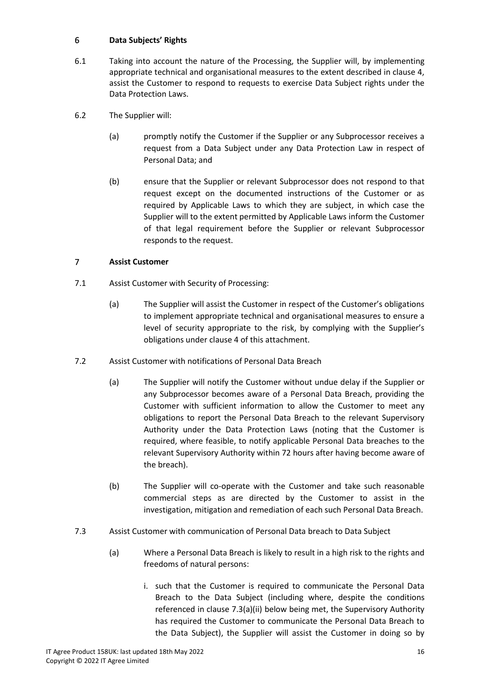## 6 **Data Subjects' Rights**

- 6.1 Taking into account the nature of the Processing, the Supplier will, by implementing appropriate technical and organisational measures to the extent described in clause 4, assist the Customer to respond to requests to exercise Data Subject rights under the Data Protection Laws.
- 6.2 The Supplier will:
	- (a) promptly notify the Customer if the Supplier or any Subprocessor receives a request from a Data Subject under any Data Protection Law in respect of Personal Data; and
	- (b) ensure that the Supplier or relevant Subprocessor does not respond to that request except on the documented instructions of the Customer or as required by Applicable Laws to which they are subject, in which case the Supplier will to the extent permitted by Applicable Laws inform the Customer of that legal requirement before the Supplier or relevant Subprocessor responds to the request.

## 7 **Assist Customer**

- 7.1 Assist Customer with Security of Processing:
	- (a) The Supplier will assist the Customer in respect of the Customer's obligations to implement appropriate technical and organisational measures to ensure a level of security appropriate to the risk, by complying with the Supplier's obligations under clause 4 of this attachment.
- 7.2 Assist Customer with notifications of Personal Data Breach
	- (a) The Supplier will notify the Customer without undue delay if the Supplier or any Subprocessor becomes aware of a Personal Data Breach, providing the Customer with sufficient information to allow the Customer to meet any obligations to report the Personal Data Breach to the relevant Supervisory Authority under the Data Protection Laws (noting that the Customer is required, where feasible, to notify applicable Personal Data breaches to the relevant Supervisory Authority within 72 hours after having become aware of the breach).
	- (b) The Supplier will co-operate with the Customer and take such reasonable commercial steps as are directed by the Customer to assist in the investigation, mitigation and remediation of each such Personal Data Breach.
- 7.3 Assist Customer with communication of Personal Data breach to Data Subject
	- (a) Where a Personal Data Breach is likely to result in a high risk to the rights and freedoms of natural persons:
		- i. such that the Customer is required to communicate the Personal Data Breach to the Data Subject (including where, despite the conditions referenced in clause 7.3(a)(ii) below being met, the Supervisory Authority has required the Customer to communicate the Personal Data Breach to the Data Subject), the Supplier will assist the Customer in doing so by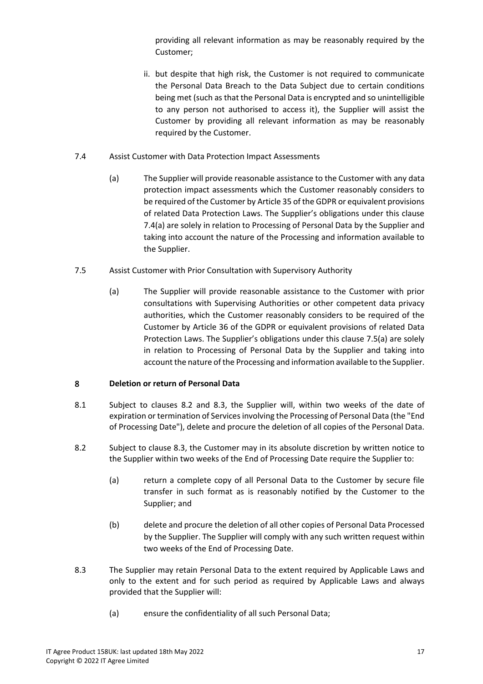providing all relevant information as may be reasonably required by the Customer;

- ii. but despite that high risk, the Customer is not required to communicate the Personal Data Breach to the Data Subject due to certain conditions being met (such as that the Personal Data is encrypted and so unintelligible to any person not authorised to access it), the Supplier will assist the Customer by providing all relevant information as may be reasonably required by the Customer.
- 7.4 Assist Customer with Data Protection Impact Assessments
	- (a) The Supplier will provide reasonable assistance to the Customer with any data protection impact assessments which the Customer reasonably considers to be required of the Customer by Article 35 of the GDPR or equivalent provisions of related Data Protection Laws. The Supplier's obligations under this clause 7.4(a) are solely in relation to Processing of Personal Data by the Supplier and taking into account the nature of the Processing and information available to the Supplier.
- 7.5 Assist Customer with Prior Consultation with Supervisory Authority
	- (a) The Supplier will provide reasonable assistance to the Customer with prior consultations with Supervising Authorities or other competent data privacy authorities, which the Customer reasonably considers to be required of the Customer by Article 36 of the GDPR or equivalent provisions of related Data Protection Laws. The Supplier's obligations under this clause 7.5(a) are solely in relation to Processing of Personal Data by the Supplier and taking into account the nature of the Processing and information available to the Supplier.

## 8 **Deletion or return of Personal Data**

- 8.1 Subject to clauses 8.2 and 8.3, the Supplier will, within two weeks of the date of expiration or termination of Services involving the Processing of Personal Data (the "End of Processing Date"), delete and procure the deletion of all copies of the Personal Data.
- 8.2 Subject to clause 8.3, the Customer may in its absolute discretion by written notice to the Supplier within two weeks of the End of Processing Date require the Supplier to:
	- (a) return a complete copy of all Personal Data to the Customer by secure file transfer in such format as is reasonably notified by the Customer to the Supplier; and
	- (b) delete and procure the deletion of all other copies of Personal Data Processed by the Supplier. The Supplier will comply with any such written request within two weeks of the End of Processing Date.
- 8.3 The Supplier may retain Personal Data to the extent required by Applicable Laws and only to the extent and for such period as required by Applicable Laws and always provided that the Supplier will:
	- (a) ensure the confidentiality of all such Personal Data;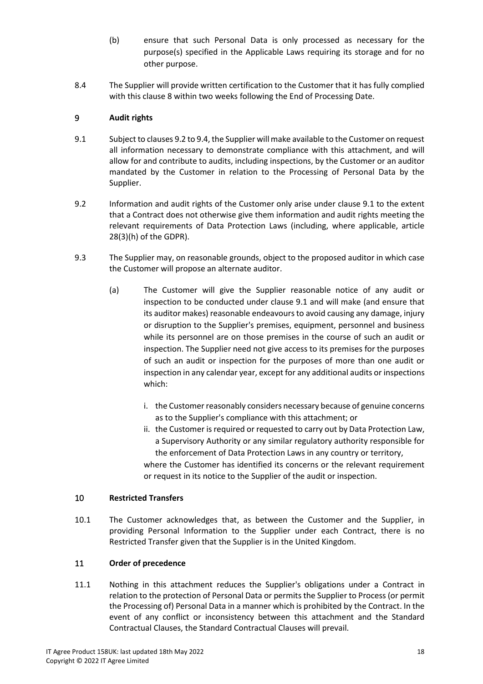- (b) ensure that such Personal Data is only processed as necessary for the purpose(s) specified in the Applicable Laws requiring its storage and for no other purpose.
- 8.4 The Supplier will provide written certification to the Customer that it has fully complied with this clause 8 within two weeks following the End of Processing Date.

## 9 **Audit rights**

- 9.1 Subject to clauses 9.2 to 9.4, the Supplier will make available to the Customer on request all information necessary to demonstrate compliance with this attachment, and will allow for and contribute to audits, including inspections, by the Customer or an auditor mandated by the Customer in relation to the Processing of Personal Data by the Supplier.
- 9.2 Information and audit rights of the Customer only arise under clause 9.1 to the extent that a Contract does not otherwise give them information and audit rights meeting the relevant requirements of Data Protection Laws (including, where applicable, article 28(3)(h) of the GDPR).
- 9.3 The Supplier may, on reasonable grounds, object to the proposed auditor in which case the Customer will propose an alternate auditor.
	- (a) The Customer will give the Supplier reasonable notice of any audit or inspection to be conducted under clause 9.1 and will make (and ensure that its auditor makes) reasonable endeavours to avoid causing any damage, injury or disruption to the Supplier's premises, equipment, personnel and business while its personnel are on those premises in the course of such an audit or inspection. The Supplier need not give access to its premises for the purposes of such an audit or inspection for the purposes of more than one audit or inspection in any calendar year, except for any additional audits or inspections which:
		- i. the Customer reasonably considers necessary because of genuine concerns as to the Supplier's compliance with this attachment; or
		- ii. the Customer is required or requested to carry out by Data Protection Law, a Supervisory Authority or any similar regulatory authority responsible for the enforcement of Data Protection Laws in any country or territory, where the Customer has identified its concerns or the relevant requirement or request in its notice to the Supplier of the audit or inspection.

## 10 **Restricted Transfers**

10.1 The Customer acknowledges that, as between the Customer and the Supplier, in providing Personal Information to the Supplier under each Contract, there is no Restricted Transfer given that the Supplier is in the United Kingdom.

## 11 **Order of precedence**

11.1 Nothing in this attachment reduces the Supplier's obligations under a Contract in relation to the protection of Personal Data or permits the Supplier to Process (or permit the Processing of) Personal Data in a manner which is prohibited by the Contract. In the event of any conflict or inconsistency between this attachment and the Standard Contractual Clauses, the Standard Contractual Clauses will prevail.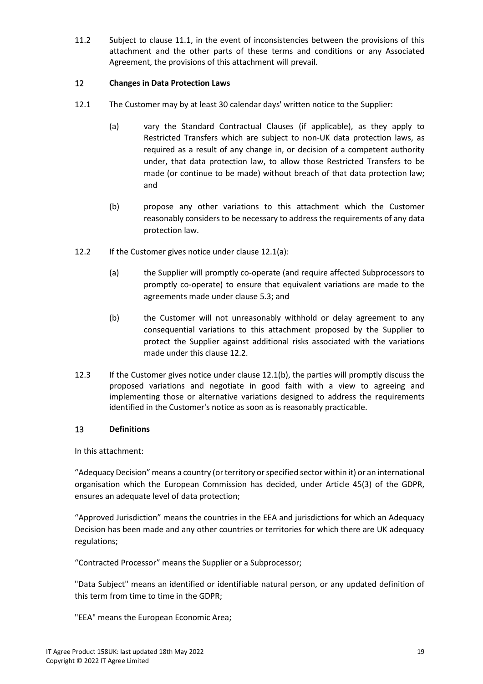11.2 Subject to clause 11.1, in the event of inconsistencies between the provisions of this attachment and the other parts of these terms and conditions or any Associated Agreement, the provisions of this attachment will prevail.

## 12 **Changes in Data Protection Laws**

- 12.1 The Customer may by at least 30 calendar days' written notice to the Supplier:
	- (a) vary the Standard Contractual Clauses (if applicable), as they apply to Restricted Transfers which are subject to non-UK data protection laws, as required as a result of any change in, or decision of a competent authority under, that data protection law, to allow those Restricted Transfers to be made (or continue to be made) without breach of that data protection law; and
	- (b) propose any other variations to this attachment which the Customer reasonably considers to be necessary to address the requirements of any data protection law.
- 12.2 If the Customer gives notice under clause 12.1(a):
	- (a) the Supplier will promptly co-operate (and require affected Subprocessors to promptly co-operate) to ensure that equivalent variations are made to the agreements made under clause 5.3; and
	- (b) the Customer will not unreasonably withhold or delay agreement to any consequential variations to this attachment proposed by the Supplier to protect the Supplier against additional risks associated with the variations made under this clause 12.2.
- 12.3 If the Customer gives notice under clause 12.1(b), the parties will promptly discuss the proposed variations and negotiate in good faith with a view to agreeing and implementing those or alternative variations designed to address the requirements identified in the Customer's notice as soon as is reasonably practicable.

#### 13 **Definitions**

In this attachment:

"Adequacy Decision" means a country (or territory or specified sector within it) or an international organisation which the European Commission has decided, under Article 45(3) of the GDPR, ensures an adequate level of data protection;

"Approved Jurisdiction" means the countries in the EEA and jurisdictions for which an Adequacy Decision has been made and any other countries or territories for which there are UK adequacy regulations;

"Contracted Processor" means the Supplier or a Subprocessor;

"Data Subject" means an identified or identifiable natural person, or any updated definition of this term from time to time in the GDPR;

"EEA" means the European Economic Area;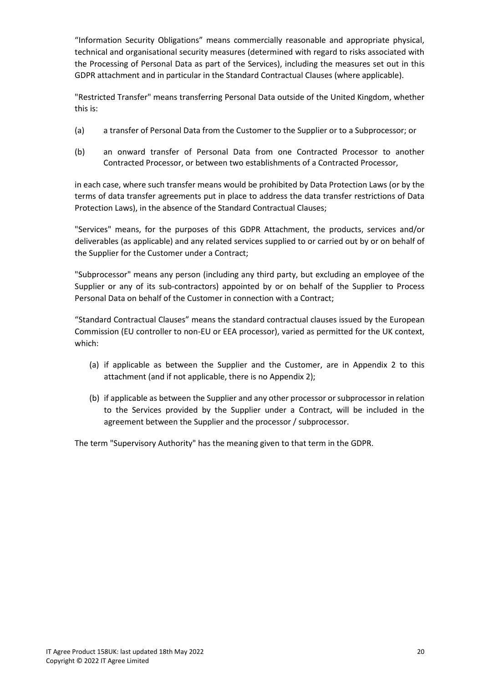"Information Security Obligations" means commercially reasonable and appropriate physical, technical and organisational security measures (determined with regard to risks associated with the Processing of Personal Data as part of the Services), including the measures set out in this GDPR attachment and in particular in the Standard Contractual Clauses (where applicable).

"Restricted Transfer" means transferring Personal Data outside of the United Kingdom, whether this is:

- (a) a transfer of Personal Data from the Customer to the Supplier or to a Subprocessor; or
- (b) an onward transfer of Personal Data from one Contracted Processor to another Contracted Processor, or between two establishments of a Contracted Processor,

in each case, where such transfer means would be prohibited by Data Protection Laws (or by the terms of data transfer agreements put in place to address the data transfer restrictions of Data Protection Laws), in the absence of the Standard Contractual Clauses;

"Services" means, for the purposes of this GDPR Attachment, the products, services and/or deliverables (as applicable) and any related services supplied to or carried out by or on behalf of the Supplier for the Customer under a Contract;

"Subprocessor" means any person (including any third party, but excluding an employee of the Supplier or any of its sub-contractors) appointed by or on behalf of the Supplier to Process Personal Data on behalf of the Customer in connection with a Contract;

"Standard Contractual Clauses" means the standard contractual clauses issued by the European Commission (EU controller to non-EU or EEA processor), varied as permitted for the UK context, which:

- (a) if applicable as between the Supplier and the Customer, are in Appendix 2 to this attachment (and if not applicable, there is no Appendix 2);
- (b) if applicable as between the Supplier and any other processor or subprocessor in relation to the Services provided by the Supplier under a Contract, will be included in the agreement between the Supplier and the processor / subprocessor.

The term "Supervisory Authority" has the meaning given to that term in the GDPR.